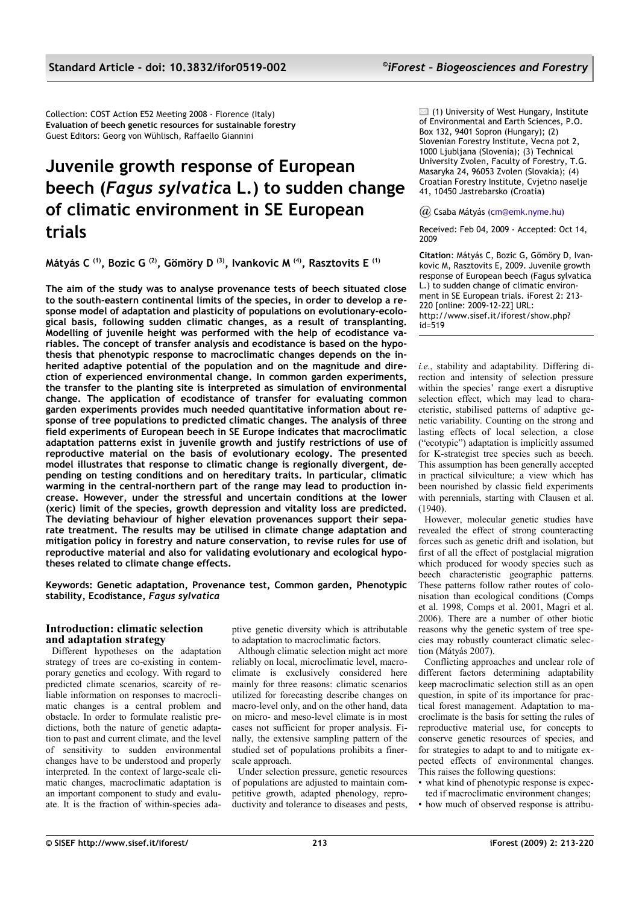Collection: COST Action E52 Meeting 2008 - Florence (Italy) **Evaluation of beech genetic resources for sustainable forestry** Guest Editors: Georg von Wühlisch, Raffaello Giannini

# **Juvenile growth response of European beech (***Fagus sylvatic***a L.) to sudden change of climatic environment in SE European trials**

**Mátyás C (1), Bozic G (2), Gömöry D (3), Ivankovic M (4), Rasztovits E (1)**

**The aim of the study was to analyse provenance tests of beech situated close to the south-eastern continental limits of the species, in order to develop a response model of adaptation and plasticity of populations on evolutionary-ecological basis, following sudden climatic changes, as a result of transplanting. Modelling of juvenile height was performed with the help of ecodistance variables. The concept of transfer analysis and ecodistance is based on the hypothesis that phenotypic response to macroclimatic changes depends on the inherited adaptive potential of the population and on the magnitude and direction of experienced environmental change. In common garden experiments, the transfer to the planting site is interpreted as simulation of environmental change. The application of ecodistance of transfer for evaluating common garden experiments provides much needed quantitative information about response of tree populations to predicted climatic changes. The analysis of three field experiments of European beech in SE Europe indicates that macroclimatic adaptation patterns exist in juvenile growth and justify restrictions of use of reproductive material on the basis of evolutionary ecology. The presented model illustrates that response to climatic change is regionally divergent, depending on testing conditions and on hereditary traits. In particular, climatic warming in the central-northern part of the range may lead to production increase. However, under the stressful and uncertain conditions at the lower (xeric) limit of the species, growth depression and vitality loss are predicted. The deviating behaviour of higher elevation provenances support their separate treatment. The results may be utilised in climate change adaptation and mitigation policy in forestry and nature conservation, to revise rules for use of reproductive material and also for validating evolutionary and ecological hypotheses related to climate change effects.**

**Keywords: Genetic adaptation, Provenance test, Common garden, Phenotypic stability, Ecodistance,** *Fagus sylvatica*

# **Introduction: climatic selection and adaptation strategy**

Different hypotheses on the adaptation strategy of trees are co-existing in contemporary genetics and ecology. With regard to predicted climate scenarios, scarcity of reliable information on responses to macroclimatic changes is a central problem and obstacle. In order to formulate realistic predictions, both the nature of genetic adaptation to past and current climate, and the level of sensitivity to sudden environmental changes have to be understood and properly interpreted. In the context of large-scale climatic changes, macroclimatic adaptation is an important component to study and evaluate. It is the fraction of within-species adaptive genetic diversity which is attributable to adaptation to macroclimatic factors.

Although climatic selection might act more reliably on local, microclimatic level, macroclimate is exclusively considered here mainly for three reasons: climatic scenarios utilized for forecasting describe changes on macro-level only, and on the other hand, data on micro- and meso-level climate is in most cases not sufficient for proper analysis. Finally, the extensive sampling pattern of the studied set of populations prohibits a finerscale approach.

Under selection pressure, genetic resources of populations are adjusted to maintain competitive growth, adapted phenology, reproductivity and tolerance to diseases and pests,  $\boxtimes$  (1) University of West Hungary, Institute of Environmental and Earth Sciences, P.O. Box 132, 9401 Sopron (Hungary); (2) Slovenian Forestry Institute, Vecna pot 2, 1000 Ljubljana (Slovenia); (3) Technical University Zvolen, Faculty of Forestry, T.G. Masaryka 24, 96053 Zvolen (Slovakia); (4) Croatian Forestry Institute, Cvjetno naselje 41, 10450 Jastrebarsko (Croatia)

*@* Csaba Mátyá[s \(cm@emk.nyme.hu\)](mailto:cm@emk.nyme.hu)

Received: Feb 04, 2009 - Accepted: Oct 14, 2009

**Citation**: Mátyás C, Bozic G, Gömöry D, Ivankovic M, Rasztovits E, 2009. Juvenile growth response of European beech (Fagus sylvatica L.) to sudden change of climatic environment in SE European trials. iForest 2: 213- 220 [online: 2009-12-22] URL: http://www.sisef.it/iforest/show.php? id=519

*i.e.*, stability and adaptability. Differing direction and intensity of selection pressure within the species' range exert a disruptive selection effect, which may lead to characteristic, stabilised patterns of adaptive genetic variability. Counting on the strong and lasting effects of local selection, a close ("ecotypic") adaptation is implicitly assumed for K-strategist tree species such as beech. This assumption has been generally accepted in practical silviculture; a view which has been nourished by classic field experiments with perennials, starting with Clausen et al. (1940).

However, molecular genetic studies have revealed the effect of strong counteracting forces such as genetic drift and isolation, but first of all the effect of postglacial migration which produced for woody species such as beech characteristic geographic patterns. These patterns follow rather routes of colonisation than ecological conditions (Comps et al. 1998, Comps et al. 2001, Magri et al. 2006). There are a number of other biotic reasons why the genetic system of tree species may robustly counteract climatic selection (Mátyás 2007).

Conflicting approaches and unclear role of different factors determining adaptability keep macroclimatic selection still as an open question, in spite of its importance for practical forest management. Adaptation to macroclimate is the basis for setting the rules of reproductive material use, for concepts to conserve genetic resources of species, and for strategies to adapt to and to mitigate expected effects of environmental changes. This raises the following questions:

- what kind of phenotypic response is expected if macroclimatic environment changes;
- how much of observed response is attribu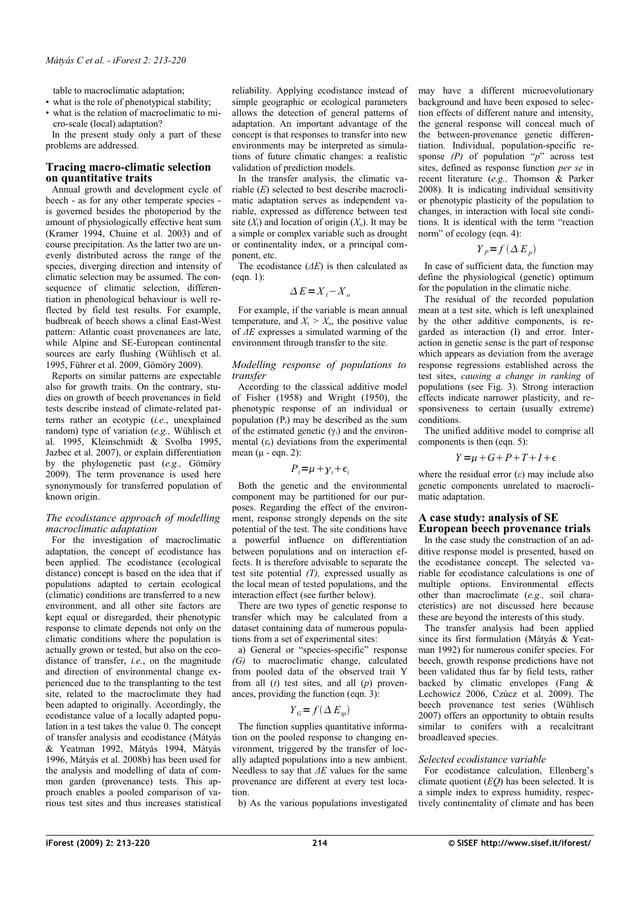table to macroclimatic adaptation;

- what is the role of phenotypical stability;
- what is the relation of macroclimatic to micro-scale (local) adaptation?

In the present study only a part of these problems are addressed.

# **Tracing macro-climatic selection on quantitative traits**

Annual growth and development cycle of beech - as for any other temperate species is governed besides the photoperiod by the amount of physiologically effective heat sum (Kramer 1994, Chuine et al. 2003) and of course precipitation. As the latter two are unevenly distributed across the range of the species, diverging direction and intensity of climatic selection may be assumed. The consequence of climatic selection, differentiation in phenological behaviour is well reflected by field test results. For example, budbreak of beech shows a clinal East-West pattern: Atlantic coast provenances are late, while Alpine and SE-European continental sources are early flushing (Wühlisch et al. 1995, Führer et al. 2009, Gömöry 2009).

Reports on similar patterns are expectable also for growth traits. On the contrary, studies on growth of beech provenances in field tests describe instead of climate-related patterns rather an ecotypic (*i.e.*, unexplained random) type of variation (*e.g.,* Wühlisch et al. 1995, Kleinschmidt & Svolba 1995, Jazbec et al. 2007), or explain differentiation by the phylogenetic past (*e.g.,* Gömöry 2009). The term provenance is used here synonymously for transferred population of known origin.

# *The ecodistance approach of modelling macroclimatic adaptation*

For the investigation of macroclimatic adaptation, the concept of ecodistance has been applied. The ecodistance (ecological distance) concept is based on the idea that if populations adapted to certain ecological (climatic) conditions are transferred to a new environment, and all other site factors are kept equal or disregarded, their phenotypic response to climate depends not only on the climatic conditions where the population is actually grown or tested, but also on the ecodistance of transfer, *i.e.*, on the magnitude and direction of environmental change experienced due to the transplanting to the test site, related to the macroclimate they had been adapted to originally. Accordingly, the ecodistance value of a locally adapted population in a test takes the value 0. The concept of transfer analysis and ecodistance (Mátyás & Yeatman 1992, Mátyás 1994, Mátyás 1996, Mátyás et al. 2008b) has been used for the analysis and modelling of data of common garden (provenance) tests. This approach enables a pooled comparison of various test sites and thus increases statistical reliability. Applying ecodistance instead of simple geographic or ecological parameters allows the detection of general patterns of adaptation. An important advantage of the concept is that responses to transfer into new environments may be interpreted as simulations of future climatic changes: a realistic validation of prediction models.

In the transfer analysis, the climatic variable (*E*) selected to best describe macroclimatic adaptation serves as independent variable, expressed as difference between test site  $(X<sub>t</sub>)$  and location of origin  $(X<sub>o</sub>)$ . It may be a simple or complex variable such as drought or continentality index, or a principal component, etc.

The ecodistance (*ΔE*) is then calculated as (eqn. 1):

$$
\Delta E = X_t - X_a
$$

For example, if the variable is mean annual temperature, and  $X_t > X_0$ , the positive value of *ΔE* expresses a simulated warming of the environment through transfer to the site.

## *Modelling response of populations to transfer*

According to the classical additive model of Fisher (1958) and Wright (1950), the phenotypic response of an individual or population  $(P_i)$  may be described as the sum of the estimated genetic  $(\gamma_i)$  and the environmental  $(\varepsilon_i)$  deviations from the experimental mean  $(\mu$  - eqn. 2):

## $P_i = \mu + \gamma_i + \epsilon_i$

Both the genetic and the environmental component may be partitioned for our purposes. Regarding the effect of the environment, response strongly depends on the site potential of the test. The site conditions have a powerful influence on differentiation between populations and on interaction effects. It is therefore advisable to separate the test site potential *(T),* expressed usually as the local mean of tested populations, and the interaction effect (see further below).

There are two types of genetic response to transfer which may be calculated from a dataset containing data of numerous populations from a set of experimental sites:

a) General or "species-specific" response *(G)* to macroclimatic change, calculated from pooled data of the observed trait Y from all (*t*) test sites, and all (*p*) provenances, providing the function (eqn. 3):

# $Y_c = f(\Delta E_p)$

The function supplies quantitative information on the pooled response to changing environment, triggered by the transfer of locally adapted populations into a new ambient. Needless to say that *ΔE* values for the same provenance are different at every test location.

b) As the various populations investigated

may have a different microevolutionary background and have been exposed to selection effects of different nature and intensity, the general response will conceal much of the between-provenance genetic differentiation. Individual, population-specific response *(P)* of population "*p*" across test sites, defined as response function *per se* in recent literature (*e.g.,* Thomson & Parker 2008). It is indicating individual sensitivity or phenotypic plasticity of the population to changes, in interaction with local site conditions. It is identical with the term "reaction norm" of ecology (eqn. 4):

$$
Y_P = f(\Delta E_p)
$$

In case of sufficient data, the function may define the physiological (genetic) optimum for the population in the climatic niche.

The residual of the recorded population mean at a test site, which is left unexplained by the other additive components, is regarded as interaction (I) and error. Interaction in genetic sense is the part of response which appears as deviation from the average response regressions established across the test sites, *causing a change in ranking* of populations (see [Fig. 3\)](#page-4-0). Strong interaction effects indicate narrower plasticity, and responsiveness to certain (usually extreme) conditions.

The unified additive model to comprise all components is then (eqn. 5):

# $Y = u + G + P + T + I + \epsilon$

where the residual error  $(\varepsilon)$  may include also genetic components unrelated to macroclimatic adaptation.

## **A case study: analysis of SE European beech provenance trials**

In the case study the construction of an additive response model is presented, based on the ecodistance concept. The selected variable for ecodistance calculations is one of multiple options. Environmental effects other than macroclimate (*e.g.,* soil characteristics) are not discussed here because these are beyond the interests of this study.

The transfer analysis had been applied since its first formulation (Mátyás & Yeatman 1992) for numerous conifer species. For beech, growth response predictions have not been validated thus far by field tests, rather backed by climatic envelopes (Fang & Lechowicz 2006, Czúcz et al. 2009). The beech provenance test series (Wühlisch 2007) offers an opportunity to obtain results similar to conifers with a recalcitrant broadleaved species.

## *Selected ecodistance variable*

For ecodistance calculation, Ellenberg's climate quotient (*EQ*) has been selected. It is a simple index to express humidity, respectively continentality of climate and has been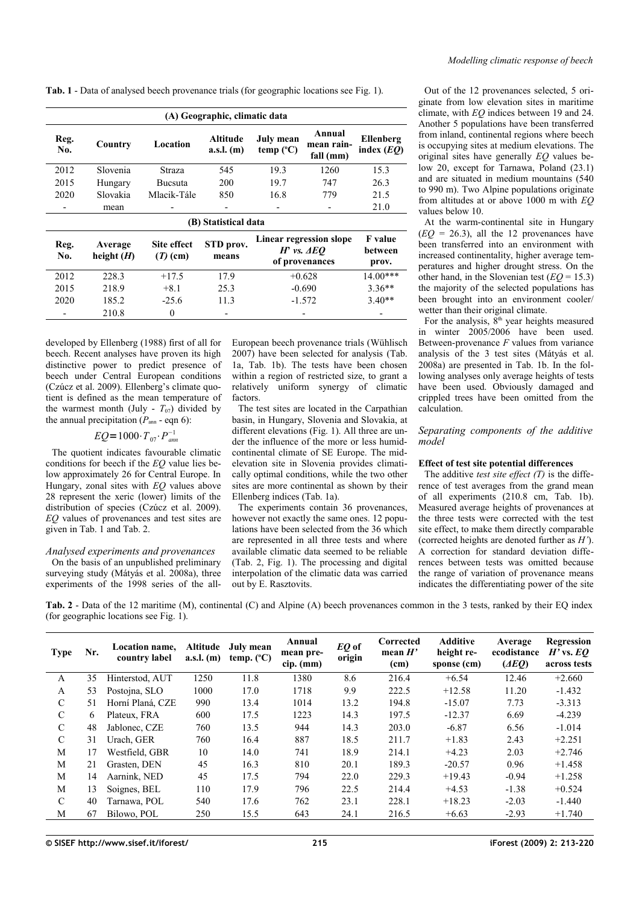<span id="page-2-0"></span>**Tab. 1** - Data of analysed beech provenance trials (for geographic locations see [Fig. 1\)](#page-3-0).

| (A) Geographic, climatic data |                         |                           |                          |                                                             |                                   |                                    |  |  |  |  |  |
|-------------------------------|-------------------------|---------------------------|--------------------------|-------------------------------------------------------------|-----------------------------------|------------------------------------|--|--|--|--|--|
| Reg.<br>No.                   | Country                 | Location                  | Altitude<br>$a.s.l.$ (m) | July mean<br>$temp$ ( $°C$ )                                | Annual<br>mean rain-<br>fall (mm) | Ellenberg<br>index $(EQ)$          |  |  |  |  |  |
| 2012                          | <b>Slovenia</b>         | Straza                    | 545                      | 19.3                                                        | 1260                              | 15.3                               |  |  |  |  |  |
| 2015                          | Hungary                 | <b>Bucsuta</b>            | 200                      | 19.7                                                        | 747                               | 26.3                               |  |  |  |  |  |
| 2020                          | Slovakia                | Mlacik-Tále               | 850                      | 16.8                                                        | 779                               | 21.5                               |  |  |  |  |  |
| -                             | mean                    | $\overline{\phantom{a}}$  | -                        |                                                             |                                   | 21.0                               |  |  |  |  |  |
| (B) Statistical data          |                         |                           |                          |                                                             |                                   |                                    |  |  |  |  |  |
| Reg.<br>No.                   | Average<br>height $(H)$ | Site effect<br>$(T)$ (cm) | STD prov.<br>means       | Linear regression slope<br>$H'$ vs. $AEO$<br>of provenances |                                   | <b>F</b> value<br>between<br>prov. |  |  |  |  |  |
| 2012                          | 228.3                   | $+17.5$                   | 17.9                     | $+0.628$                                                    |                                   | 14.00***                           |  |  |  |  |  |
| 2015                          | 218.9                   | $+8.1$                    | 25.3                     | $-0.690$                                                    |                                   | $3.36**$                           |  |  |  |  |  |
| 2020                          | 185.2                   | $-25.6$                   | 11.3                     | $-1.572$                                                    |                                   | $3.40**$                           |  |  |  |  |  |
|                               | 210.8                   | $\theta$                  | -                        |                                                             |                                   | -                                  |  |  |  |  |  |

developed by Ellenberg (1988) first of all for beech. Recent analyses have proven its high distinctive power to predict presence of beech under Central European conditions (Czúcz et al. 2009). Ellenberg's climate quotient is defined as the mean temperature of the warmest month (July -  $T_{07}$ ) divided by the annual precipitation  $(P_{\text{ann}} - \text{eqn } 6)$ :

$$
EQ=1000 \cdot T_{.07} \cdot P_{.02}
$$

The quotient indicates favourable climatic conditions for beech if the *EQ* value lies below approximately 26 for Central Europe. In Hungary, zonal sites with *EQ* values above 28 represent the xeric (lower) limits of the distribution of species (Czúcz et al. 2009). *EQ* values of provenances and test sites are given in [Tab. 1](#page-2-0) and [Tab. 2.](#page-2-1)

## *Analysed experiments and provenances*

On the basis of an unpublished preliminary surveying study (Mátyás et al. 2008a), three experiments of the 1998 series of the allEuropean beech provenance trials (Wühlisch 2007) have been selected for analysis [\(Tab.](#page-2-0) [1a](#page-2-0), [Tab. 1b](#page-2-0)). The tests have been chosen within a region of restricted size, to grant a relatively uniform synergy of climatic factors.

The test sites are located in the Carpathian basin, in Hungary, Slovenia and Slovakia, at different elevations [\(Fig. 1\)](#page-3-0). All three are under the influence of the more or less humidcontinental climate of SE Europe. The midelevation site in Slovenia provides climatically optimal conditions, while the two other sites are more continental as shown by their Ellenberg indices [\(Tab. 1a](#page-2-0)).

The experiments contain 36 provenances, however not exactly the same ones. 12 populations have been selected from the 36 which are represented in all three tests and where available climatic data seemed to be reliable [\(Tab. 2,](#page-2-1) [Fig. 1\)](#page-3-0). The processing and digital interpolation of the climatic data was carried out by E. Rasztovits.

Out of the 12 provenances selected, 5 originate from low elevation sites in maritime climate, with *EQ* indices between 19 and 24. Another 5 populations have been transferred from inland, continental regions where beech is occupying sites at medium elevations. The original sites have generally *EQ* values below 20, except for Tarnawa, Poland (23.1) and are situated in medium mountains (540 to 990 m). Two Alpine populations originate from altitudes at or above 1000 m with *EQ* values below 10.

At the warm-continental site in Hungary  $(EO = 26.3)$ , all the 12 provenances have been transferred into an environment with increased continentality, higher average temperatures and higher drought stress. On the other hand, in the Slovenian test  $(EQ = 15.3)$ the majority of the selected populations has been brought into an environment cooler/ wetter than their original climate.

For the analysis,  $8<sup>th</sup>$  year heights measured in winter 2005/2006 have been used. Between-provenance *F* values from variance analysis of the 3 test sites (Mátyás et al. 2008a) are presented in [Tab. 1b](#page-2-0). In the following analyses only average heights of tests have been used. Obviously damaged and crippled trees have been omitted from the calculation.

# *Separating components of the additive model*

## **Effect of test site potential differences**

The additive *test site effect (T)* is the difference of test averages from the grand mean of all experiments (210.8 cm, [Tab. 1b](#page-2-0)). Measured average heights of provenances at the three tests were corrected with the test site effect, to make them directly comparable (corrected heights are denoted further as *H'*). A correction for standard deviation differences between tests was omitted because the range of variation of provenance means indicates the differentiating power of the site

<span id="page-2-1"></span>**Tab. 2** - Data of the 12 maritime (M), continental (C) and Alpine (A) beech provenances common in the 3 tests, ranked by their EQ index (for geographic locations see [Fig. 1\)](#page-3-0).

| <b>Type</b>   | Nr. | Location name,<br>country label | Altitude<br>$a.s.l.$ (m) | July mean<br>temp. $(^{\circ}C)$ | Annual<br>mean pre-<br>$\text{cip. (mm)}$ | EQ of<br>origin | Corrected<br>mean $H'$<br>(cm) | <b>Additive</b><br>height re-<br>sponse (cm) | Average<br>ecodistance<br>(ABQ) | Regression<br>$H'$ vs. EQ<br>across tests |
|---------------|-----|---------------------------------|--------------------------|----------------------------------|-------------------------------------------|-----------------|--------------------------------|----------------------------------------------|---------------------------------|-------------------------------------------|
| A             | 35  | Hinterstod, AUT                 | 1250                     | 11.8                             | 1380                                      | 8.6             | 216.4                          | $+6.54$                                      | 12.46                           | $+2.660$                                  |
| A             | 53  | Postojna, SLO                   | 1000                     | 17.0                             | 1718                                      | 9.9             | 222.5                          | $+12.58$                                     | 11.20                           | $-1.432$                                  |
| $\mathcal{C}$ | 51  | Horní Planá, CZE                | 990                      | 13.4                             | 1014                                      | 13.2            | 194.8                          | $-15.07$                                     | 7.73                            | $-3.313$                                  |
| $\mathcal{C}$ | 6   | Plateux, FRA                    | 600                      | 17.5                             | 1223                                      | 14.3            | 197.5                          | $-12.37$                                     | 6.69                            | $-4.239$                                  |
| $\mathcal{C}$ | 48  | Jablonec, CZE                   | 760                      | 13.5                             | 944                                       | 14.3            | 203.0                          | $-6.87$                                      | 6.56                            | $-1.014$                                  |
| $\mathcal{C}$ | 31  | Urach. GER                      | 760                      | 16.4                             | 887                                       | 18.5            | 211.7                          | $+1.83$                                      | 2.43                            | $+2.251$                                  |
| M             | 17  | Westfield. GBR                  | 10                       | 14.0                             | 741                                       | 18.9            | 214.1                          | $+4.23$                                      | 2.03                            | $+2.746$                                  |
| М             | 21  | Grasten, DEN                    | 45                       | 16.3                             | 810                                       | 20.1            | 189.3                          | $-20.57$                                     | 0.96                            | $+1.458$                                  |
| M             | 14  | Aarnink, NED                    | 45                       | 17.5                             | 794                                       | 22.0            | 229.3                          | $+19.43$                                     | $-0.94$                         | $+1.258$                                  |
| M             | 13  | Soignes, BEL                    | 110                      | 17.9                             | 796                                       | 22.5            | 214.4                          | $+4.53$                                      | $-1.38$                         | $+0.524$                                  |
| $\mathcal{C}$ | 40  | Tarnawa, POL                    | 540                      | 17.6                             | 762                                       | 23.1            | 228.1                          | $+18.23$                                     | $-2.03$                         | $-1.440$                                  |
| M             | 67  | Bilowo, POL                     | 250                      | 15.5                             | 643                                       | 24.1            | 216.5                          | $+6.63$                                      | $-2.93$                         | $+1.740$                                  |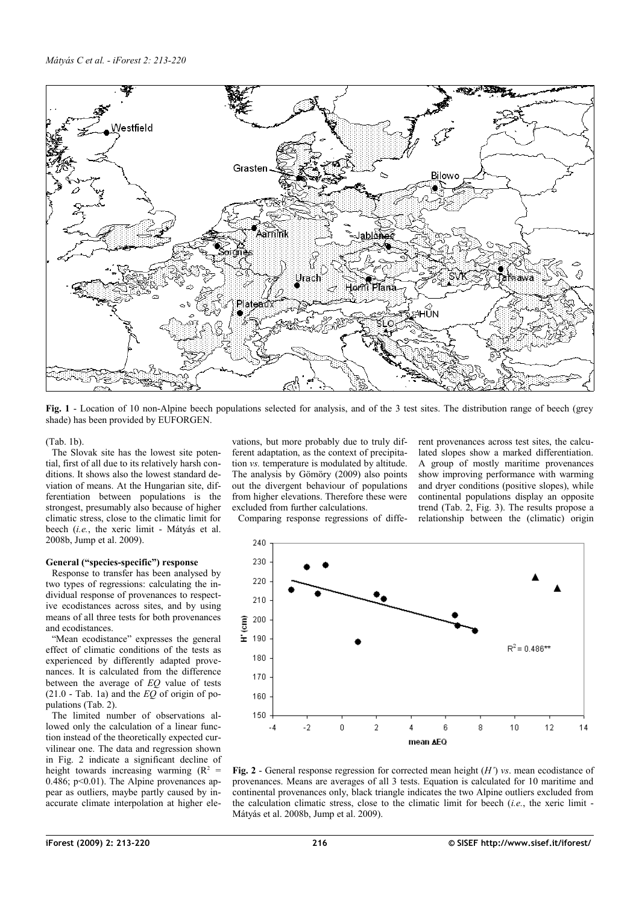

<span id="page-3-0"></span>**Fig. 1** - Location of 10 non-Alpine beech populations selected for analysis, and of the 3 test sites. The distribution range of beech (grey shade) has been provided by EUFORGEN.

[\(Tab. 1b](#page-2-0)).

The Slovak site has the lowest site potential, first of all due to its relatively harsh conditions. It shows also the lowest standard deviation of means. At the Hungarian site, differentiation between populations is the strongest, presumably also because of higher climatic stress, close to the climatic limit for beech (*i.e.*, the xeric limit - Mátyás et al. 2008b, Jump et al. 2009).

## **General ("species-specific") response**

Response to transfer has been analysed by two types of regressions: calculating the individual response of provenances to respective ecodistances across sites, and by using means of all three tests for both provenances and ecodistances.

"Mean ecodistance" expresses the general effect of climatic conditions of the tests as experienced by differently adapted provenances. It is calculated from the difference between the average of *EQ* value of tests (21.0 - [Tab. 1a](#page-2-0)) and the *EQ* of origin of populations [\(Tab. 2\)](#page-2-1).

The limited number of observations allowed only the calculation of a linear function instead of the theoretically expected curvilinear one. The data and regression shown in [Fig. 2](#page-3-1) indicate a significant decline of height towards increasing warming  $(R^2 =$ 0.486;  $p<0.01$ ). The Alpine provenances appear as outliers, maybe partly caused by inaccurate climate interpolation at higher elevations, but more probably due to truly different adaptation, as the context of precipitation *vs.* temperature is modulated by altitude. The analysis by Gömöry (2009) also points out the divergent behaviour of populations from higher elevations. Therefore these were excluded from further calculations.

Comparing response regressions of diffe-

rent provenances across test sites, the calculated slopes show a marked differentiation. A group of mostly maritime provenances show improving performance with warming and dryer conditions (positive slopes), while continental populations display an opposite trend [\(Tab. 2,](#page-2-1) [Fig. 3\)](#page-4-0). The results propose a relationship between the (climatic) origin



<span id="page-3-1"></span>**Fig. 2** - General response regression for corrected mean height (*H'*) *vs*. mean ecodistance of provenances. Means are averages of all 3 tests. Equation is calculated for 10 maritime and continental provenances only, black triangle indicates the two Alpine outliers excluded from the calculation climatic stress, close to the climatic limit for beech (*i.e.*, the xeric limit - Mátyás et al. 2008b, Jump et al. 2009).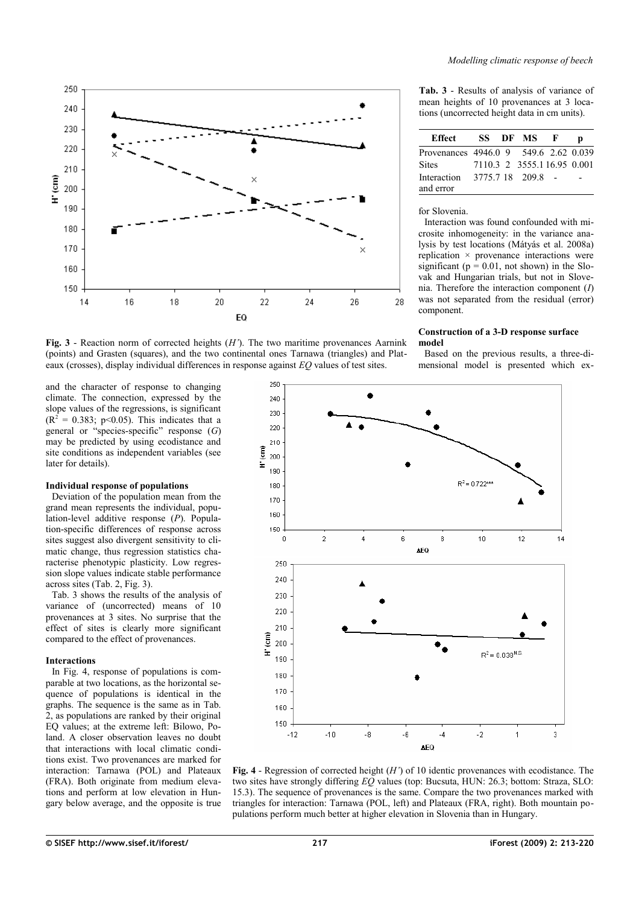

<span id="page-4-0"></span>**Fig. 3** - Reaction norm of corrected heights (*H'*). The two maritime provenances Aarnink (points) and Grasten (squares), and the two continental ones Tarnawa (triangles) and Plateaux (crosses), display individual differences in response against *EQ* values of test sites.

and the character of response to changing climate. The connection, expressed by the slope values of the regressions, is significant  $(R<sup>2</sup> = 0.383; p<0.05)$ . This indicates that a general or "species-specific" response (*G*) may be predicted by using ecodistance and site conditions as independent variables (see later for details).

#### **Individual response of populations**

Deviation of the population mean from the grand mean represents the individual, population-level additive response (*P*). Population-specific differences of response across sites suggest also divergent sensitivity to climatic change, thus regression statistics characterise phenotypic plasticity. Low regression slope values indicate stable performance across sites [\(Tab. 2,](#page-2-1) [Fig. 3\)](#page-4-0).

[Tab. 3](#page-4-2) shows the results of the analysis of variance of (uncorrected) means of 10 provenances at 3 sites. No surprise that the effect of sites is clearly more significant compared to the effect of provenances.

#### **Interactions**

In [Fig. 4,](#page-4-1) response of populations is comparable at two locations, as the horizontal sequence of populations is identical in the graphs. The sequence is the same as in [Tab.](#page-2-1) [2,](#page-2-1) as populations are ranked by their original EQ values; at the extreme left: Bilowo, Poland. A closer observation leaves no doubt that interactions with local climatic conditions exist. Two provenances are marked for interaction: Tarnawa (POL) and Plateaux (FRA). Both originate from medium elevations and perform at low elevation in Hungary below average, and the opposite is true

<span id="page-4-2"></span>**Tab. 3** - Results of analysis of variance of mean heights of 10 provenances at 3 locations (uncorrected height data in cm units).

| Effect                                |  | SS DF MS F                 |  |
|---------------------------------------|--|----------------------------|--|
| Provenances 4946.0 9 549.6 2.62 0.039 |  |                            |  |
| <b>Sites</b>                          |  | 7110 3 2 3555 116 95 0 001 |  |
| Interaction                           |  | 3775 7 18 209 8 -          |  |
| and error                             |  |                            |  |

## for Slovenia.

Interaction was found confounded with microsite inhomogeneity: in the variance analysis by test locations (Mátyás et al. 2008a) replication  $\times$  provenance interactions were significant ( $p = 0.01$ , not shown) in the Slovak and Hungarian trials, but not in Slovenia. Therefore the interaction component (*I*) was not separated from the residual (error) component.

#### **Construction of a 3-D response surface model**

Based on the previous results, a three-dimensional model is presented which ex



<span id="page-4-1"></span>**Fig. 4** - Regression of corrected height (*H'*) of 10 identic provenances with ecodistance. The two sites have strongly differing *EQ* values (top: Bucsuta, HUN: 26.3; bottom: Straza, SLO: 15.3). The sequence of provenances is the same. Compare the two provenances marked with triangles for interaction: Tarnawa (POL, left) and Plateaux (FRA, right). Both mountain populations perform much better at higher elevation in Slovenia than in Hungary.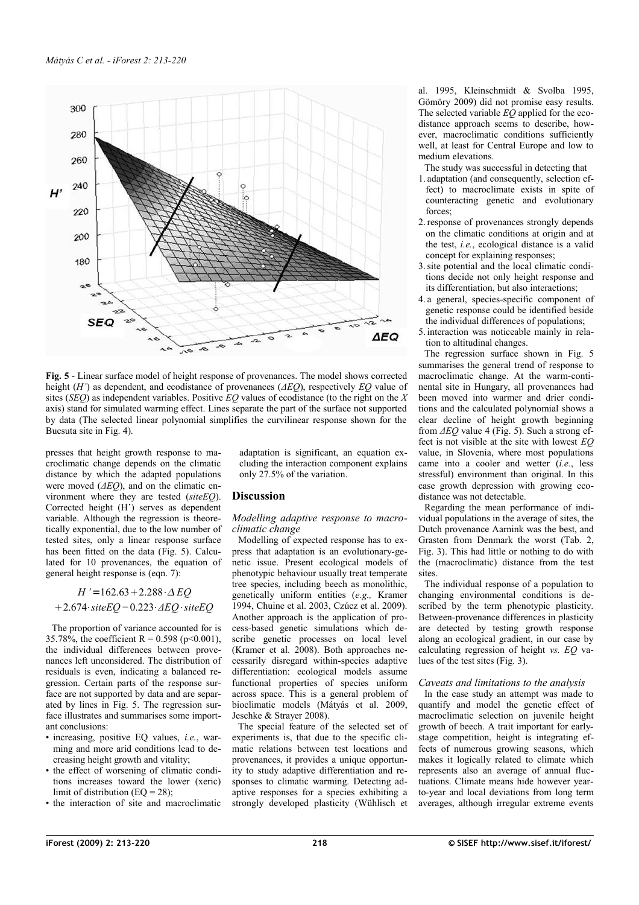

<span id="page-5-0"></span>**Fig. 5** - Linear surface model of height response of provenances. The model shows corrected height (*H'*) as dependent, and ecodistance of provenances (*ΔEQ*), respectively *EQ* value of sites (*SEQ*) as independent variables. Positive *EQ* values of ecodistance (to the right on the *X* axis) stand for simulated warming effect. Lines separate the part of the surface not supported by data (The selected linear polynomial simplifies the curvilinear response shown for the Bucsuta site in [Fig. 4\)](#page-4-1).

presses that height growth response to macroclimatic change depends on the climatic distance by which the adapted populations were moved (*ΔEQ*), and on the climatic environment where they are tested (*siteEQ*). Corrected height (H') serves as dependent variable. Although the regression is theoretically exponential, due to the low number of tested sites, only a linear response surface has been fitted on the data [\(Fig. 5\)](#page-5-0). Calculated for 10 provenances, the equation of general height response is (eqn. 7):

$$
H' = 162.63 + 2.288 \cdot \Delta EQ
$$

$$
+ 2.674 \cdot siteEQ - 0.223 \cdot \Delta EQ \cdot siteEQ
$$

The proportion of variance accounted for is 35.78%, the coefficient R = 0.598 (p<0.001), the individual differences between provenances left unconsidered. The distribution of residuals is even, indicating a balanced regression. Certain parts of the response surface are not supported by data and are separated by lines in [Fig. 5.](#page-5-0) The regression surface illustrates and summarises some important conclusions:

- increasing, positive EQ values, *i.e.*, warming and more arid conditions lead to decreasing height growth and vitality;
- the effect of worsening of climatic conditions increases toward the lower (xeric) limit of distribution  $(EQ = 28)$ ;
- the interaction of site and macroclimatic

adaptation is significant, an equation excluding the interaction component explains only 27.5% of the variation.

## **Discussion**

## *Modelling adaptive response to macroclimatic change*

Modelling of expected response has to express that adaptation is an evolutionary-genetic issue. Present ecological models of phenotypic behaviour usually treat temperate tree species, including beech as monolithic, genetically uniform entities (*e.g.,* Kramer 1994, Chuine et al. 2003, Czúcz et al. 2009). Another approach is the application of process-based genetic simulations which describe genetic processes on local level (Kramer et al. 2008). Both approaches necessarily disregard within-species adaptive differentiation: ecological models assume functional properties of species uniform across space. This is a general problem of bioclimatic models (Mátyás et al. 2009, Jeschke & Strayer 2008).

The special feature of the selected set of experiments is, that due to the specific climatic relations between test locations and provenances, it provides a unique opportunity to study adaptive differentiation and responses to climatic warming. Detecting adaptive responses for a species exhibiting a strongly developed plasticity (Wühlisch et al. 1995, Kleinschmidt & Svolba 1995, Gömöry 2009) did not promise easy results. The selected variable *EQ* applied for the ecodistance approach seems to describe, however, macroclimatic conditions sufficiently well, at least for Central Europe and low to medium elevations.

- The study was successful in detecting that
- 1. adaptation (and consequently, selection effect) to macroclimate exists in spite of counteracting genetic and evolutionary forces:
- 2.response of provenances strongly depends on the climatic conditions at origin and at the test, *i.e.*, ecological distance is a valid concept for explaining responses;
- 3.site potential and the local climatic conditions decide not only height response and its differentiation, but also interactions;
- 4. a general, species-specific component of genetic response could be identified beside the individual differences of populations;
- 5. interaction was noticeable mainly in relation to altitudinal changes.

The regression surface shown in [Fig. 5](#page-5-0) summarises the general trend of response to macroclimatic change. At the warm-continental site in Hungary, all provenances had been moved into warmer and drier conditions and the calculated polynomial shows a clear decline of height growth beginning from *ΔEQ* value 4 [\(Fig. 5\)](#page-5-0). Such a strong effect is not visible at the site with lowest *EQ* value, in Slovenia, where most populations came into a cooler and wetter (*i.e.*, less stressful) environment than original. In this case growth depression with growing ecodistance was not detectable.

Regarding the mean performance of individual populations in the average of sites, the Dutch provenance Aarnink was the best, and Grasten from Denmark the worst [\(Tab. 2,](#page-2-1) [Fig. 3\)](#page-4-0). This had little or nothing to do with the (macroclimatic) distance from the test sites.

The individual response of a population to changing environmental conditions is described by the term phenotypic plasticity. Between-provenance differences in plasticity are detected by testing growth response along an ecological gradient, in our case by calculating regression of height *vs. EQ* values of the test sites [\(Fig. 3\)](#page-4-0).

## *Caveats and limitations to the analysis*

In the case study an attempt was made to quantify and model the genetic effect of macroclimatic selection on juvenile height growth of beech. A trait important for earlystage competition, height is integrating effects of numerous growing seasons, which makes it logically related to climate which represents also an average of annual fluctuations. Climate means hide however yearto-year and local deviations from long term averages, although irregular extreme events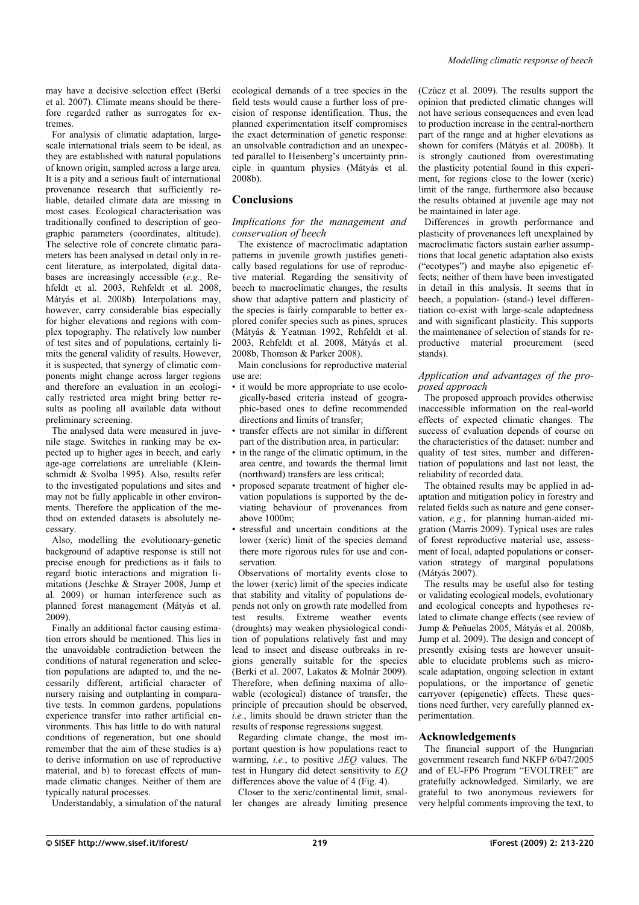may have a decisive selection effect (Berki et al. 2007). Climate means should be therefore regarded rather as surrogates for extremes.

For analysis of climatic adaptation, largescale international trials seem to be ideal, as they are established with natural populations of known origin, sampled across a large area. It is a pity and a serious fault of international provenance research that sufficiently reliable, detailed climate data are missing in most cases. Ecological characterisation was traditionally confined to description of geographic parameters (coordinates, altitude). The selective role of concrete climatic parameters has been analysed in detail only in recent literature, as interpolated, digital databases are increasingly accessible (*e.g.,* Rehfeldt et al. 2003, Rehfeldt et al. 2008, Mátyás et al. 2008b). Interpolations may, however, carry considerable bias especially for higher elevations and regions with complex topography. The relatively low number of test sites and of populations, certainly limits the general validity of results. However, it is suspected, that synergy of climatic components might change across larger regions and therefore an evaluation in an ecologically restricted area might bring better results as pooling all available data without preliminary screening.

The analysed data were measured in juvenile stage. Switches in ranking may be expected up to higher ages in beech, and early age-age correlations are unreliable (Kleinschmidt & Svolba 1995). Also, results refer to the investigated populations and sites and may not be fully applicable in other environments. Therefore the application of the method on extended datasets is absolutely necessary.

Also, modelling the evolutionary-genetic background of adaptive response is still not precise enough for predictions as it fails to regard biotic interactions and migration limitations (Jeschke & Strayer 2008, Jump et al. 2009) or human interference such as planned forest management (Mátyás et al. 2009).

Finally an additional factor causing estimation errors should be mentioned. This lies in the unavoidable contradiction between the conditions of natural regeneration and selection populations are adapted to, and the necessarily different, artificial character of nursery raising and outplanting in comparative tests. In common gardens, populations experience transfer into rather artificial environments. This has little to do with natural conditions of regeneration, but one should remember that the aim of these studies is a) to derive information on use of reproductive material, and b) to forecast effects of manmade climatic changes. Neither of them are typically natural processes.

Understandably, a simulation of the natural

ecological demands of a tree species in the field tests would cause a further loss of precision of response identification. Thus, the planned experimentation itself compromises the exact determination of genetic response: an unsolvable contradiction and an unexpected parallel to Heisenberg's uncertainty principle in quantum physics (Mátyás et al. 2008b).

# **Conclusions**

## *Implications for the management and conservation of beech*

The existence of macroclimatic adaptation patterns in juvenile growth justifies genetically based regulations for use of reproductive material. Regarding the sensitivity of beech to macroclimatic changes, the results show that adaptive pattern and plasticity of the species is fairly comparable to better explored conifer species such as pines, spruces (Mátyás & Yeatman 1992, Rehfeldt et al. 2003, Rehfeldt et al. 2008, Mátyás et al. 2008b, Thomson & Parker 2008).

Main conclusions for reproductive material use are:

- it would be more appropriate to use ecologically-based criteria instead of geographic-based ones to define recommended directions and limits of transfer;
- transfer effects are not similar in different part of the distribution area, in particular:
- in the range of the climatic optimum, in the area centre, and towards the thermal limit (northward) transfers are less critical;
- proposed separate treatment of higher elevation populations is supported by the deviating behaviour of provenances from above 1000m;
- stressful and uncertain conditions at the lower (xeric) limit of the species demand there more rigorous rules for use and conservation.

Observations of mortality events close to the lower (xeric) limit of the species indicate that stability and vitality of populations depends not only on growth rate modelled from test results. Extreme weather events (droughts) may weaken physiological condition of populations relatively fast and may lead to insect and disease outbreaks in regions generally suitable for the species (Berki et al. 2007, Lakatos & Molnár 2009). Therefore, when defining maxima of allowable (ecological) distance of transfer, the principle of precaution should be observed, *i.e.*, limits should be drawn stricter than the results of response regressions suggest.

Regarding climate change, the most important question is how populations react to warming, *i.e.*, to positive *ΔEQ* values. The test in Hungary did detect sensitivity to *EQ* differences above the value of 4 [\(Fig. 4\)](#page-4-1).

Closer to the xeric/continental limit, smaller changes are already limiting presence (Czúcz et al. 2009). The results support the opinion that predicted climatic changes will not have serious consequences and even lead to production increase in the central-northern part of the range and at higher elevations as shown for conifers (Mátyás et al. 2008b). It is strongly cautioned from overestimating the plasticity potential found in this experiment, for regions close to the lower (xeric) limit of the range, furthermore also because the results obtained at juvenile age may not be maintained in later age.

Differences in growth performance and plasticity of provenances left unexplained by macroclimatic factors sustain earlier assumptions that local genetic adaptation also exists ("ecotypes") and maybe also epigenetic effects; neither of them have been investigated in detail in this analysis. It seems that in beech, a population- (stand-) level differentiation co-exist with large-scale adaptedness and with significant plasticity. This supports the maintenance of selection of stands for reproductive material procurement (seed stands).

## *Application and advantages of the proposed approach*

The proposed approach provides otherwise inaccessible information on the real-world effects of expected climatic changes. The success of evaluation depends of course on the characteristics of the dataset: number and quality of test sites, number and differentiation of populations and last not least, the reliability of recorded data.

The obtained results may be applied in adaptation and mitigation policy in forestry and related fields such as nature and gene conservation, *e.g.,* for planning human-aided migration (Marris 2009). Typical uses are rules of forest reproductive material use, assessment of local, adapted populations or conservation strategy of marginal populations (Mátyás 2007).

The results may be useful also for testing or validating ecological models, evolutionary and ecological concepts and hypotheses related to climate change effects (see review of Jump & Peñuelas 2005, Mátyás et al. 2008b, Jump et al. 2009). The design and concept of presently exising tests are however unsuitable to elucidate problems such as microscale adaptation, ongoing selection in extant populations, or the importance of genetic carryover (epigenetic) effects. These questions need further, very carefully planned experimentation.

## **Acknowledgements**

The financial support of the Hungarian government research fund NKFP 6/047/2005 and of EU-FP6 Program "EVOLTREE" are gratefully acknowledged. Similarly, we are grateful to two anonymous reviewers for very helpful comments improving the text, to